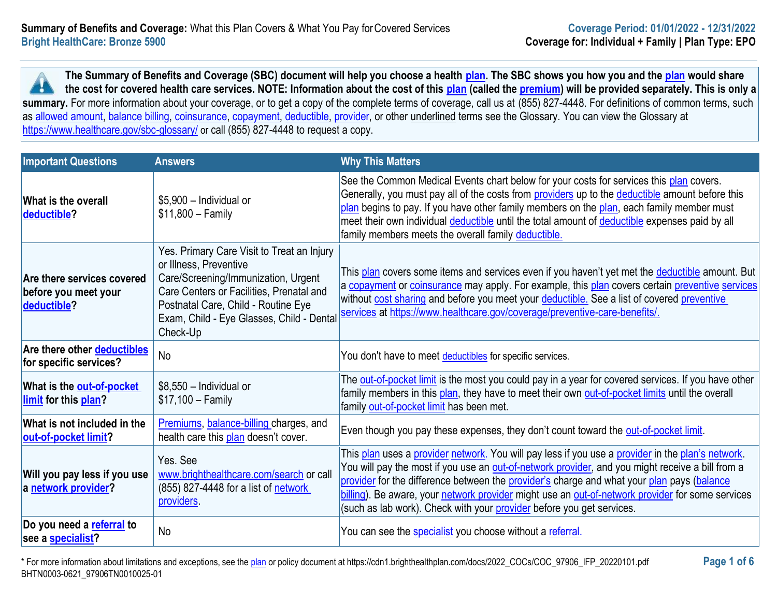**The Summary of Benefits and Coverage (SBC) document will help you choose a health [plan.](https://www.healthcare.gov/sbc-glossary/#plan) The SBC shows you how you and the [plan](https://www.healthcare.gov/sbc-glossary/#plan) would share the cost for covered health care services. NOTE: Information about the cost of this [plan](https://www.healthcare.gov/sbc-glossary/#plan) (called the [premium\)](https://www.healthcare.gov/sbc-glossary/#premium) will be provided separately. This is only a**  x summary. For more information about your coverage, or to get a copy of the complete terms of coverage, call us at (855) 827-4448. For definitions of common terms, such as [allowed amount,](https://www.healthcare.gov/sbc-glossary/#allowed-amount) [balance billing,](https://www.healthcare.gov/sbc-glossary/#balance-billing) [coinsurance,](https://www.healthcare.gov/sbc-glossary/#coinsurance) [copayment,](https://www.healthcare.gov/sbc-glossary/#copayment) [deductible,](https://www.healthcare.gov/sbc-glossary/#deductible) [provider,](https://www.healthcare.gov/sbc-glossary/#provider) or other underlined terms see the Glossary. You can view the Glossary at <https://www.healthcare.gov/sbc-glossary/> or call (855) 827-4448 to request a copy.

| <b>Important Questions</b>                                             | <b>Answers</b>                                                                                                                                                                                                                                          | <b>Why This Matters</b>                                                                                                                                                                                                                                                                                                                                                                                                                                                          |
|------------------------------------------------------------------------|---------------------------------------------------------------------------------------------------------------------------------------------------------------------------------------------------------------------------------------------------------|----------------------------------------------------------------------------------------------------------------------------------------------------------------------------------------------------------------------------------------------------------------------------------------------------------------------------------------------------------------------------------------------------------------------------------------------------------------------------------|
| <b>What is the overall</b><br>deductible?                              | \$5,900 - Individual or<br>$$11,800 - Family$                                                                                                                                                                                                           | See the Common Medical Events chart below for your costs for services this plan covers.<br>Generally, you must pay all of the costs from providers up to the deductible amount before this<br>plan begins to pay. If you have other family members on the plan, each family member must<br>meet their own individual deductible until the total amount of deductible expenses paid by all<br>family members meets the overall family deductible.                                 |
| Are there services covered<br>before you meet your<br>deductible?      | Yes. Primary Care Visit to Treat an Injury<br>or Illness, Preventive<br>Care/Screening/Immunization, Urgent<br>Care Centers or Facilities, Prenatal and<br>Postnatal Care, Child - Routine Eye<br>Exam, Child - Eye Glasses, Child - Dental<br>Check-Up | This plan covers some items and services even if you haven't yet met the <b>deductible</b> amount. But<br>a copayment or coinsurance may apply. For example, this plan covers certain preventive services<br>without cost sharing and before you meet your deductible. See a list of covered preventive<br>services at https://www.healthcare.gov/coverage/preventive-care-benefits/.                                                                                            |
| Are there other deductibles<br>for specific services?                  | No                                                                                                                                                                                                                                                      | You don't have to meet deductibles for specific services.                                                                                                                                                                                                                                                                                                                                                                                                                        |
| What is the <b>out-of-pocket</b><br><b>limit</b> for this <b>plan?</b> | $$8,550$ - Individual or<br>$$17,100 - Family$                                                                                                                                                                                                          | The out-of-pocket limit is the most you could pay in a year for covered services. If you have other<br>family members in this plan, they have to meet their own out-of-pocket limits until the overall<br>family out-of-pocket limit has been met.                                                                                                                                                                                                                               |
| What is not included in the<br>out-of-pocket limit?                    | Premiums, balance-billing charges, and<br>health care this plan doesn't cover.                                                                                                                                                                          | Even though you pay these expenses, they don't count toward the out-of-pocket limit.                                                                                                                                                                                                                                                                                                                                                                                             |
| Will you pay less if you use<br>a network provider?                    | Yes. See<br>www.brighthealthcare.com/search or call<br>(855) 827-4448 for a list of network<br>providers.                                                                                                                                               | This plan uses a provider network. You will pay less if you use a provider in the plan's network.<br>You will pay the most if you use an out-of-network provider, and you might receive a bill from a<br>provider for the difference between the provider's charge and what your plan pays (balance<br>billing). Be aware, your network provider might use an out-of-network provider for some services<br>(such as lab work). Check with your provider before you get services. |
| Do you need a referral to<br>see a <b>specialist</b> ?                 | No                                                                                                                                                                                                                                                      | You can see the specialist you choose without a referral.                                                                                                                                                                                                                                                                                                                                                                                                                        |

\* For more information about limitations and exceptions, see the [plan](https://www.healthcare.gov/sbc-glossary/#plan) or policy document at https://cdn1.brighthealthplan.com/docs/2022\_COCs/COC\_97906\_IFP\_20220101.pdf **Page 1 of 6** BHTN0003-0621\_97906TN0010025-01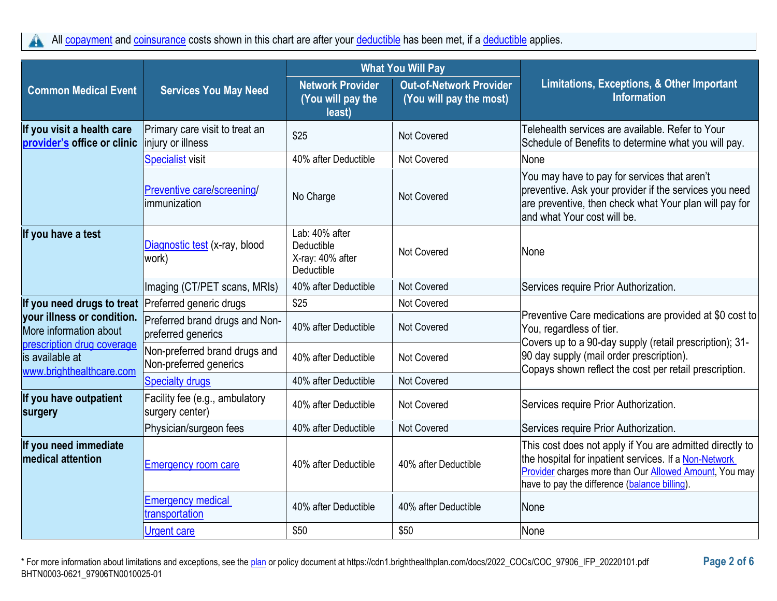All [copayment](https://www.healthcare.gov/sbc-glossary/#copayment) and [coinsurance](https://www.healthcare.gov/sbc-glossary/#coinsurance) costs shown in this chart are after your [deductible](https://www.healthcare.gov/sbc-glossary/#deductible) has been met, if a deductible applies. A

|                                                                           |                                                         | <b>What You Will Pay</b>                                       |                                                           |                                                                                                                                                                                                                                     |
|---------------------------------------------------------------------------|---------------------------------------------------------|----------------------------------------------------------------|-----------------------------------------------------------|-------------------------------------------------------------------------------------------------------------------------------------------------------------------------------------------------------------------------------------|
| <b>Common Medical Event</b>                                               | <b>Services You May Need</b>                            | <b>Network Provider</b><br>(You will pay the<br>least)         | <b>Out-of-Network Provider</b><br>(You will pay the most) | Limitations, Exceptions, & Other Important<br><b>Information</b>                                                                                                                                                                    |
| If you visit a health care<br>provider's office or clinic                 | Primary care visit to treat an<br>injury or illness     | \$25                                                           | Not Covered                                               | Telehealth services are available. Refer to Your<br>Schedule of Benefits to determine what you will pay.                                                                                                                            |
|                                                                           | <b>Specialist visit</b>                                 | 40% after Deductible                                           | Not Covered                                               | None                                                                                                                                                                                                                                |
|                                                                           | Preventive care/screening/<br>limmunization             | No Charge                                                      | <b>Not Covered</b>                                        | You may have to pay for services that aren't<br>preventive. Ask your provider if the services you need<br>are preventive, then check what Your plan will pay for<br>and what Your cost will be.                                     |
| If you have a test                                                        | Diagnostic test (x-ray, blood<br>work)                  | Lab: 40% after<br>Deductible<br>X-ray: 40% after<br>Deductible | <b>Not Covered</b>                                        | None                                                                                                                                                                                                                                |
|                                                                           | Imaging (CT/PET scans, MRIs)                            | 40% after Deductible                                           | <b>Not Covered</b>                                        | Services require Prior Authorization.                                                                                                                                                                                               |
| If you need drugs to treat Preferred generic drugs                        |                                                         | \$25                                                           | Not Covered                                               |                                                                                                                                                                                                                                     |
| your illness or condition.<br>More information about                      | Preferred brand drugs and Non-<br>preferred generics    | 40% after Deductible                                           | Not Covered                                               | Preventive Care medications are provided at \$0 cost to<br>You, regardless of tier.                                                                                                                                                 |
| prescription drug coverage<br>is available at<br>www.brighthealthcare.com | Non-preferred brand drugs and<br>Non-preferred generics | 40% after Deductible                                           | Not Covered                                               | Covers up to a 90-day supply (retail prescription); 31-<br>90 day supply (mail order prescription).<br>Copays shown reflect the cost per retail prescription.                                                                       |
|                                                                           | <b>Specialty drugs</b>                                  | 40% after Deductible                                           | Not Covered                                               |                                                                                                                                                                                                                                     |
| If you have outpatient<br>surgery                                         | Facility fee (e.g., ambulatory<br>surgery center)       | 40% after Deductible                                           | Not Covered                                               | Services require Prior Authorization.                                                                                                                                                                                               |
|                                                                           | Physician/surgeon fees                                  | 40% after Deductible                                           | Not Covered                                               | Services require Prior Authorization.                                                                                                                                                                                               |
| If you need immediate<br><b>medical attention</b>                         | <b>Emergency room care</b>                              | 40% after Deductible                                           | 40% after Deductible                                      | This cost does not apply if You are admitted directly to<br>the hospital for inpatient services. If a Non-Network<br><b>Provider charges more than Our Allowed Amount, You may</b><br>have to pay the difference (balance billing). |
|                                                                           | <b>Emergency medical</b><br>transportation              | 40% after Deductible                                           | 40% after Deductible                                      | None                                                                                                                                                                                                                                |
|                                                                           | <b>Urgent care</b>                                      | \$50                                                           | \$50                                                      | None                                                                                                                                                                                                                                |

\* For more information about limitations and exceptions, see the [plan](https://www.healthcare.gov/sbc-glossary/#plan) or policy document at https://cdn1.brighthealthplan.com/docs/2022\_COCs/COC\_97906\_IFP\_20220101.pdf **Page 2 of 6** BHTN0003-0621\_97906TN0010025-01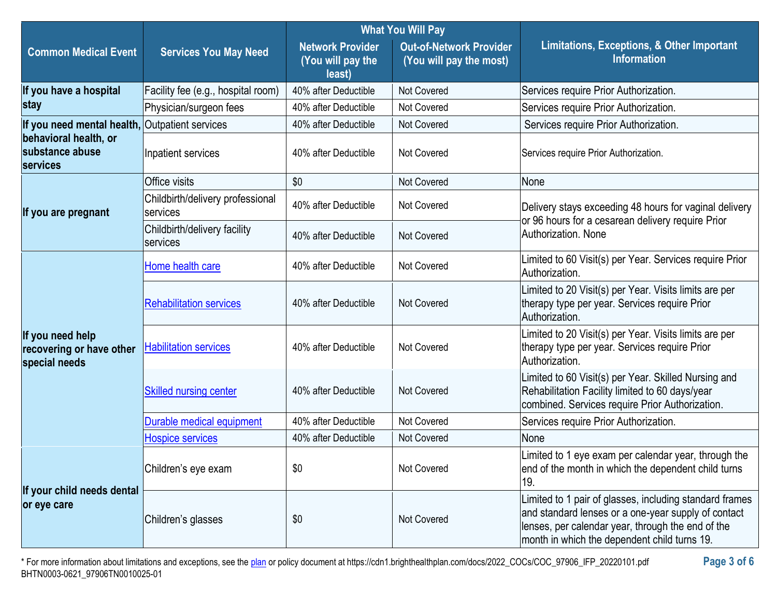|                                                               |                                              | <b>What You Will Pay</b>                               |                                                           |                                                                                                                                                                                                                     |  |
|---------------------------------------------------------------|----------------------------------------------|--------------------------------------------------------|-----------------------------------------------------------|---------------------------------------------------------------------------------------------------------------------------------------------------------------------------------------------------------------------|--|
| <b>Common Medical Event</b>                                   | <b>Services You May Need</b>                 | <b>Network Provider</b><br>(You will pay the<br>least) | <b>Out-of-Network Provider</b><br>(You will pay the most) | Limitations, Exceptions, & Other Important<br><b>Information</b>                                                                                                                                                    |  |
| If you have a hospital                                        | Facility fee (e.g., hospital room)           | 40% after Deductible                                   | Not Covered                                               | Services require Prior Authorization.                                                                                                                                                                               |  |
| stay                                                          | Physician/surgeon fees                       | 40% after Deductible                                   | Not Covered                                               | Services require Prior Authorization.                                                                                                                                                                               |  |
| If you need mental health,                                    | Outpatient services                          | 40% after Deductible                                   | <b>Not Covered</b>                                        | Services require Prior Authorization.                                                                                                                                                                               |  |
| behavioral health, or<br>substance abuse<br>services          | Inpatient services                           | 40% after Deductible                                   | <b>Not Covered</b>                                        | Services require Prior Authorization.                                                                                                                                                                               |  |
|                                                               | Office visits                                | \$0                                                    | <b>Not Covered</b>                                        | None                                                                                                                                                                                                                |  |
| If you are pregnant                                           | Childbirth/delivery professional<br>services | 40% after Deductible                                   | Not Covered                                               | Delivery stays exceeding 48 hours for vaginal delivery                                                                                                                                                              |  |
|                                                               | Childbirth/delivery facility<br>services     | 40% after Deductible                                   | <b>Not Covered</b>                                        | or 96 hours for a cesarean delivery require Prior<br>Authorization. None                                                                                                                                            |  |
|                                                               | Home health care                             | 40% after Deductible                                   | <b>Not Covered</b>                                        | Limited to 60 Visit(s) per Year. Services require Prior<br>Authorization.                                                                                                                                           |  |
| If you need help<br>recovering or have other<br>special needs | <b>Rehabilitation services</b>               | 40% after Deductible                                   | <b>Not Covered</b>                                        | Limited to 20 Visit(s) per Year. Visits limits are per<br>therapy type per year. Services require Prior<br>Authorization.                                                                                           |  |
|                                                               | <b>Habilitation services</b>                 | 40% after Deductible                                   | <b>Not Covered</b>                                        | Limited to 20 Visit(s) per Year. Visits limits are per<br>therapy type per year. Services require Prior<br>Authorization.                                                                                           |  |
|                                                               | <b>Skilled nursing center</b>                | 40% after Deductible                                   | <b>Not Covered</b>                                        | Limited to 60 Visit(s) per Year. Skilled Nursing and<br>Rehabilitation Facility limited to 60 days/year<br>combined. Services require Prior Authorization.                                                          |  |
|                                                               | <b>Durable medical equipment</b>             | 40% after Deductible                                   | Not Covered                                               | Services require Prior Authorization.                                                                                                                                                                               |  |
|                                                               | <b>Hospice services</b>                      | 40% after Deductible                                   | <b>Not Covered</b>                                        | None                                                                                                                                                                                                                |  |
| If your child needs dental<br>or eye care                     | Children's eye exam                          | \$0                                                    | Not Covered                                               | Limited to 1 eye exam per calendar year, through the<br>end of the month in which the dependent child turns<br>19.                                                                                                  |  |
|                                                               | Children's glasses                           | \$0                                                    | <b>Not Covered</b>                                        | Limited to 1 pair of glasses, including standard frames<br>and standard lenses or a one-year supply of contact<br>lenses, per calendar year, through the end of the<br>month in which the dependent child turns 19. |  |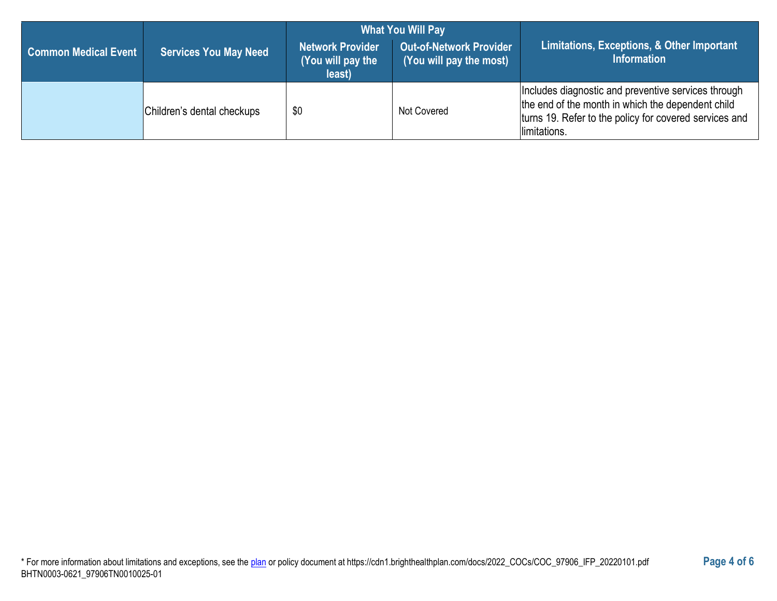|                             |                              | <b>What You Will Pay</b>                        |                                                           |                                                                                                                                                                                    |  |
|-----------------------------|------------------------------|-------------------------------------------------|-----------------------------------------------------------|------------------------------------------------------------------------------------------------------------------------------------------------------------------------------------|--|
| <b>Common Medical Event</b> | <b>Services You May Need</b> | Network Provider<br>(You will pay the<br>least) | <b>Out-of-Network Provider</b><br>(You will pay the most) | Limitations, Exceptions, & Other Important<br><b>Information</b>                                                                                                                   |  |
|                             | Children's dental checkups   | \$0                                             | Not Covered                                               | Includes diagnostic and preventive services through<br>the end of the month in which the dependent child<br>turns 19. Refer to the policy for covered services and<br>limitations. |  |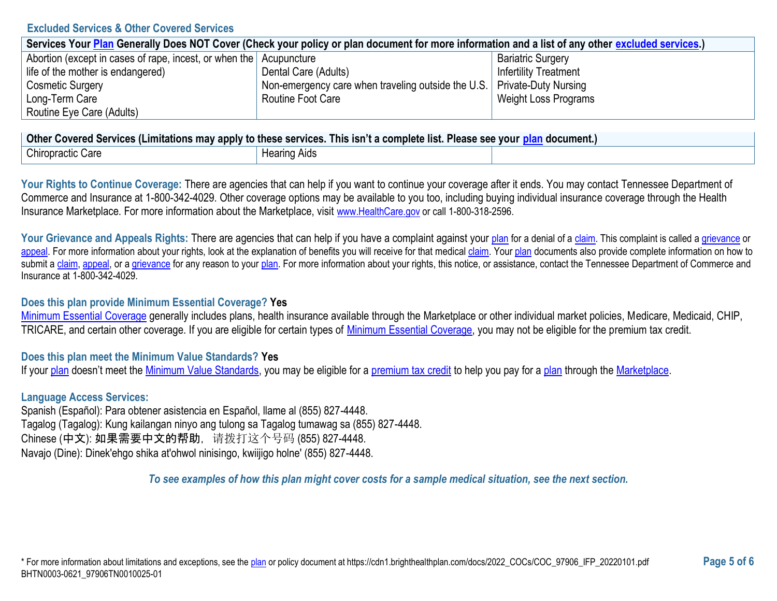### **Excluded Services & Other Covered Services**

| Services Your Plan Generally Does NOT Cover (Check your policy or plan document for more information and a list of any other excluded services.) |                                                                           |                              |  |
|--------------------------------------------------------------------------------------------------------------------------------------------------|---------------------------------------------------------------------------|------------------------------|--|
| Abortion (except in cases of rape, incest, or when the Acupuncture                                                                               |                                                                           | <b>Bariatric Surgery</b>     |  |
| life of the mother is endangered)                                                                                                                | Dental Care (Adults)                                                      | <b>Infertility Treatment</b> |  |
| <b>Cosmetic Surgery</b>                                                                                                                          | Non-emergency care when traveling outside the U.S.   Private-Duty Nursing |                              |  |
| Long-Term Care                                                                                                                                   | Routine Foot Care                                                         | Weight Loss Programs         |  |
| Routine Eye Care (Adults)                                                                                                                        |                                                                           |                              |  |

| <b>Other</b><br>. .<br>Please see your<br>. This isn't a complete list. I<br>′ Covered Services (Limitations may apply to these services. ⊺<br>ocument |                                |  |
|--------------------------------------------------------------------------------------------------------------------------------------------------------|--------------------------------|--|
| <b>Chiropractic Care</b>                                                                                                                               | . Hooring<br>Aids<br>Hearing , |  |

Your Rights to Continue Coverage: There are agencies that can help if you want to continue your coverage after it ends. You may contact Tennessee Department of Commerce and Insurance at 1-800-342-4029. Other coverage options may be available to you too, including buying individual insurance coverage through the Health Insurance Marketplace. For more information about the Marketplace, visit [www.HealthCare.gov](https://www.healthcare.gov/) or call 1-800-318-2596.

Your Grievance and Appeals Rights: There are agencies that can help if you have a complaint against your [plan](https://www.healthcare.gov/sbc-glossary/#plan) for a denial of [a claim.](https://www.healthcare.gov/sbc-glossary/#claim) This complaint is called a [grievance](https://www.healthcare.gov/sbc-glossary/#grievance) or [appeal.](https://www.healthcare.gov/sbc-glossary/#appeal) For more information about your rights, look at the explanation of benefits you will receive for that medical [claim.](https://www.healthcare.gov/sbc-glossary/#claim) You[r plan](https://www.healthcare.gov/sbc-glossary/#plan) documents also provide complete information on how to submit a [claim,](https://www.healthcare.gov/sbc-glossary/#claim) [appeal,](https://www.healthcare.gov/sbc-glossary/#appeal) or [a grievance](https://www.healthcare.gov/sbc-glossary/#grievance) for any reason to your [plan.](https://www.healthcare.gov/sbc-glossary/#plan) For more information about your rights, this notice, or assistance, contact the Tennessee Department of Commerce and Insurance at 1-800-342-4029.

### **Does this plan provide Minimum Essential Coverage? Yes**

[Minimum Essential Coverage](https://www.healthcare.gov/sbc-glossary/#minimum-essential-coverage) generally includes plans, health insurance available through the Marketplace or other individual market policies, Medicare, Medicaid, CHIP, TRICARE, and certain other coverage. If you are eligible for certain types of [Minimum Essential Coverage,](https://www.healthcare.gov/sbc-glossary/#minimum-essential-coverage) you may not be eligible for the premium tax credit.

## **Does this plan meet the Minimum Value Standards? Yes**

If you[r plan](https://www.healthcare.gov/sbc-glossary/#plan) doesn't meet the [Minimum Value Standards,](https://www.healthcare.gov/sbc-glossary/#minimum-value-standard) you may be eligible for a [premium tax credit](https://www.healthcare.gov/sbc-glossary/#premium-tax-credits) to help you pay for a [plan](https://www.healthcare.gov/sbc-glossary/#plan) through the [Marketplace.](https://www.healthcare.gov/sbc-glossary/#marketplace)

## **Language Access Services:**

Spanish (Español): Para obtener asistencia en Español, llame al (855) 827-4448. Tagalog (Tagalog): Kung kailangan ninyo ang tulong sa Tagalog tumawag sa (855) 827-4448. Chinese (中文): 如果需要中文的帮助,请拨打这个号码 (855) 827-4448. Navajo (Dine): Dinek'ehgo shika at'ohwol ninisingo, kwiijigo holne' (855) 827-4448.

*To see examples of how this plan might cover costs for a sample medical situation, see the next section.*